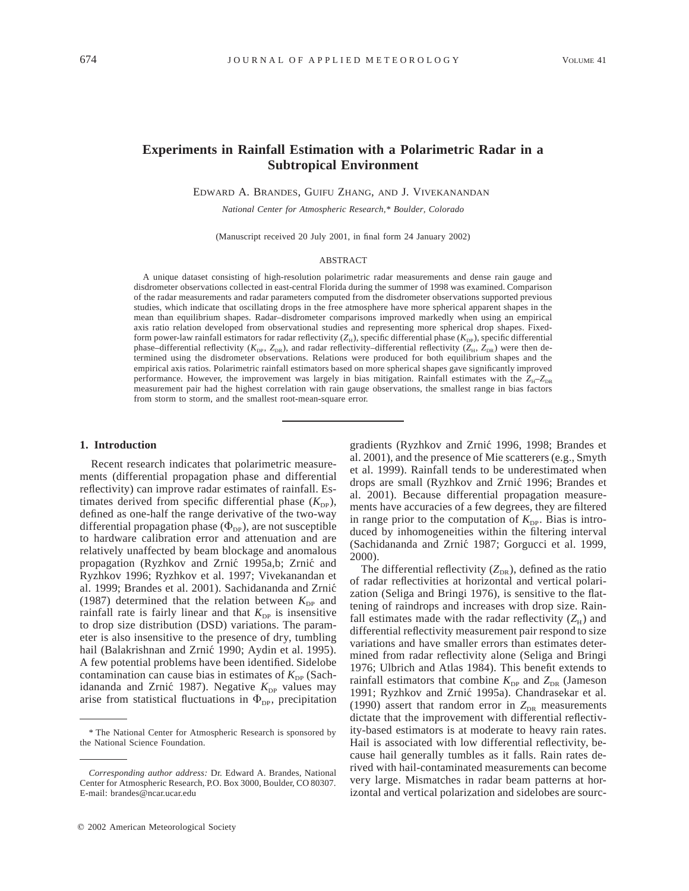## **Experiments in Rainfall Estimation with a Polarimetric Radar in a Subtropical Environment**

EDWARD A. BRANDES, GUIFU ZHANG, AND J. VIVEKANANDAN

*National Center for Atmospheric Research,\* Boulder, Colorado*

(Manuscript received 20 July 2001, in final form 24 January 2002)

#### ABSTRACT

A unique dataset consisting of high-resolution polarimetric radar measurements and dense rain gauge and disdrometer observations collected in east-central Florida during the summer of 1998 was examined. Comparison of the radar measurements and radar parameters computed from the disdrometer observations supported previous studies, which indicate that oscillating drops in the free atmosphere have more spherical apparent shapes in the mean than equilibrium shapes. Radar–disdrometer comparisons improved markedly when using an empirical axis ratio relation developed from observational studies and representing more spherical drop shapes. Fixedform power-law rainfall estimators for radar reflectivity  $(Z_H)$ , specific differential phase  $(K_{\text{DP}})$ , specific differential phase–differential reflectivity ( $K_{\text{DP}}$ ,  $Z_{\text{DR}}$ ), and radar reflectivity–differential reflectivity ( $Z_{\text{H}}$ ,  $Z_{\text{DR}}$ ) were then determined using the disdrometer observations. Relations were produced for both equilibrium shapes and the empirical axis ratios. Polarimetric rainfall estimators based on more spherical shapes gave significantly improved performance. However, the improvement was largely in bias mitigation. Rainfall estimates with the  $Z_{\text{H}}-Z_{\text{DR}}$ measurement pair had the highest correlation with rain gauge observations, the smallest range in bias factors from storm to storm, and the smallest root-mean-square error.

#### **1. Introduction**

Recent research indicates that polarimetric measurements (differential propagation phase and differential reflectivity) can improve radar estimates of rainfall. Estimates derived from specific differential phase  $(K_{DP})$ , defined as one-half the range derivative of the two-way differential propagation phase  $(\Phi_{DP})$ , are not susceptible to hardware calibration error and attenuation and are relatively unaffected by beam blockage and anomalous propagation (Ryzhkov and Zrnic´ 1995a,b; Zrnic´ and Ryzhkov 1996; Ryzhkov et al. 1997; Vivekanandan et al. 1999; Brandes et al. 2001). Sachidananda and Zrnic´ (1987) determined that the relation between  $K_{\text{DP}}$  and rainfall rate is fairly linear and that  $K_{\text{DP}}$  is insensitive to drop size distribution (DSD) variations. The parameter is also insensitive to the presence of dry, tumbling hail (Balakrishnan and Zrnić 1990; Aydin et al. 1995). A few potential problems have been identified. Sidelobe contamination can cause bias in estimates of  $K_{\text{DP}}$  (Sachidananda and Zrnić 1987). Negative  $K_{\text{DP}}$  values may arise from statistical fluctuations in  $\Phi_{DP}$ , precipitation gradients (Ryzhkov and Zrnic´ 1996, 1998; Brandes et al. 2001), and the presence of Mie scatterers (e.g., Smyth et al. 1999). Rainfall tends to be underestimated when drops are small (Ryzhkov and Zrnic´ 1996; Brandes et al. 2001). Because differential propagation measurements have accuracies of a few degrees, they are filtered in range prior to the computation of  $K_{\text{DP}}$ . Bias is introduced by inhomogeneities within the filtering interval (Sachidananda and Zrnic´ 1987; Gorgucci et al. 1999, 2000).

The differential reflectivity  $(Z_{DR})$ , defined as the ratio of radar reflectivities at horizontal and vertical polarization (Seliga and Bringi 1976), is sensitive to the flattening of raindrops and increases with drop size. Rainfall estimates made with the radar reflectivity  $(Z_H)$  and differential reflectivity measurement pair respond to size variations and have smaller errors than estimates determined from radar reflectivity alone (Seliga and Bringi 1976; Ulbrich and Atlas 1984). This benefit extends to rainfall estimators that combine  $K_{\text{DP}}$  and  $Z_{\text{DR}}$  (Jameson 1991; Ryzhkov and Zrnić 1995a). Chandrasekar et al. (1990) assert that random error in  $Z_{DR}$  measurements dictate that the improvement with differential reflectivity-based estimators is at moderate to heavy rain rates. Hail is associated with low differential reflectivity, because hail generally tumbles as it falls. Rain rates derived with hail-contaminated measurements can become very large. Mismatches in radar beam patterns at horizontal and vertical polarization and sidelobes are sourc-

<sup>\*</sup> The National Center for Atmospheric Research is sponsored by the National Science Foundation.

*Corresponding author address:* Dr. Edward A. Brandes, National Center for Atmospheric Research, P.O. Box 3000, Boulder, CO 80307. E-mail: brandes@ncar.ucar.edu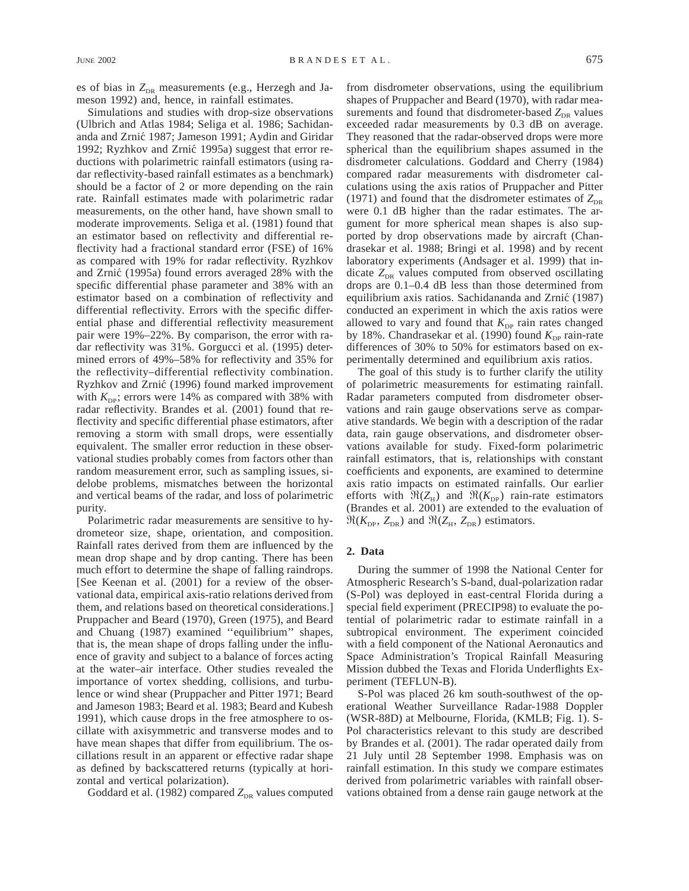Simulations and studies with drop-size observations (Ulbrich and Atlas 1984; Seliga et al. 1986; Sachidananda and Zrnic´ 1987; Jameson 1991; Aydin and Giridar 1992; Ryzhkov and Zrnić 1995a) suggest that error reductions with polarimetric rainfall estimators (using radar reflectivity-based rainfall estimates as a benchmark) should be a factor of 2 or more depending on the rain rate. Rainfall estimates made with polarimetric radar measurements, on the other hand, have shown small to moderate improvements. Seliga et al. (1981) found that an estimator based on reflectivity and differential reflectivity had a fractional standard error (FSE) of 16% as compared with 19% for radar reflectivity. Ryzhkov and Zrnic´ (1995a) found errors averaged 28% with the specific differential phase parameter and 38% with an estimator based on a combination of reflectivity and differential reflectivity. Errors with the specific differential phase and differential reflectivity measurement pair were 19%–22%. By comparison, the error with radar reflectivity was 31%. Gorgucci et al. (1995) determined errors of 49%–58% for reflectivity and 35% for the reflectivity–differential reflectivity combination. Ryzhkov and Zrnić (1996) found marked improvement with  $K_{\text{DP}}$ ; errors were 14% as compared with 38% with radar reflectivity. Brandes et al. (2001) found that reflectivity and specific differential phase estimators, after removing a storm with small drops, were essentially equivalent. The smaller error reduction in these observational studies probably comes from factors other than random measurement error, such as sampling issues, sidelobe problems, mismatches between the horizontal and vertical beams of the radar, and loss of polarimetric purity.

Polarimetric radar measurements are sensitive to hydrometeor size, shape, orientation, and composition. Rainfall rates derived from them are influenced by the mean drop shape and by drop canting. There has been much effort to determine the shape of falling raindrops. [See Keenan et al. (2001) for a review of the observational data, empirical axis-ratio relations derived from them, and relations based on theoretical considerations.] Pruppacher and Beard (1970), Green (1975), and Beard and Chuang (1987) examined ''equilibrium'' shapes, that is, the mean shape of drops falling under the influence of gravity and subject to a balance of forces acting at the water–air interface. Other studies revealed the importance of vortex shedding, collisions, and turbulence or wind shear (Pruppacher and Pitter 1971; Beard and Jameson 1983; Beard et al. 1983; Beard and Kubesh 1991), which cause drops in the free atmosphere to oscillate with axisymmetric and transverse modes and to have mean shapes that differ from equilibrium. The oscillations result in an apparent or effective radar shape as defined by backscattered returns (typically at horizontal and vertical polarization).

Goddard et al. (1982) compared  $Z_{DR}$  values computed

from disdrometer observations, using the equilibrium shapes of Pruppacher and Beard (1970), with radar measurements and found that disdrometer-based  $Z_{\text{DR}}$  values exceeded radar measurements by 0.3 dB on average. They reasoned that the radar-observed drops were more spherical than the equilibrium shapes assumed in the disdrometer calculations. Goddard and Cherry (1984) compared radar measurements with disdrometer calculations using the axis ratios of Pruppacher and Pitter (1971) and found that the disdrometer estimates of  $Z_{DR}$ were 0.1 dB higher than the radar estimates. The argument for more spherical mean shapes is also supported by drop observations made by aircraft (Chandrasekar et al. 1988; Bringi et al. 1998) and by recent laboratory experiments (Andsager et al. 1999) that indicate Z<sub>DR</sub> values computed from observed oscillating drops are 0.1–0.4 dB less than those determined from equilibrium axis ratios. Sachidananda and Zrnic´ (1987) conducted an experiment in which the axis ratios were allowed to vary and found that  $K_{\text{DP}}$  rain rates changed by 18%. Chandrasekar et al. (1990) found  $K_{\text{DP}}$  rain-rate differences of 30% to 50% for estimators based on experimentally determined and equilibrium axis ratios.

The goal of this study is to further clarify the utility of polarimetric measurements for estimating rainfall. Radar parameters computed from disdrometer observations and rain gauge observations serve as comparative standards. We begin with a description of the radar data, rain gauge observations, and disdrometer observations available for study. Fixed-form polarimetric rainfall estimators, that is, relationships with constant coefficients and exponents, are examined to determine axis ratio impacts on estimated rainfalls. Our earlier efforts with  $\Re(Z_H)$  and  $\Re(K_{\text{DP}})$  rain-rate estimators (Brandes et al. 2001) are extended to the evaluation of  $\Re(K_{\text{DP}}, Z_{\text{DR}})$  and  $\Re(Z_{\text{H}}, Z_{\text{DR}})$  estimators.

## **2. Data**

During the summer of 1998 the National Center for Atmospheric Research's S-band, dual-polarization radar (S-Pol) was deployed in east-central Florida during a special field experiment (PRECIP98) to evaluate the potential of polarimetric radar to estimate rainfall in a subtropical environment. The experiment coincided with a field component of the National Aeronautics and Space Administration's Tropical Rainfall Measuring Mission dubbed the Texas and Florida Underflights Experiment (TEFLUN-B).

S-Pol was placed 26 km south-southwest of the operational Weather Surveillance Radar-1988 Doppler (WSR-88D) at Melbourne, Florida, (KMLB; Fig. 1). S-Pol characteristics relevant to this study are described by Brandes et al. (2001). The radar operated daily from 21 July until 28 September 1998. Emphasis was on rainfall estimation. In this study we compare estimates derived from polarimetric variables with rainfall observations obtained from a dense rain gauge network at the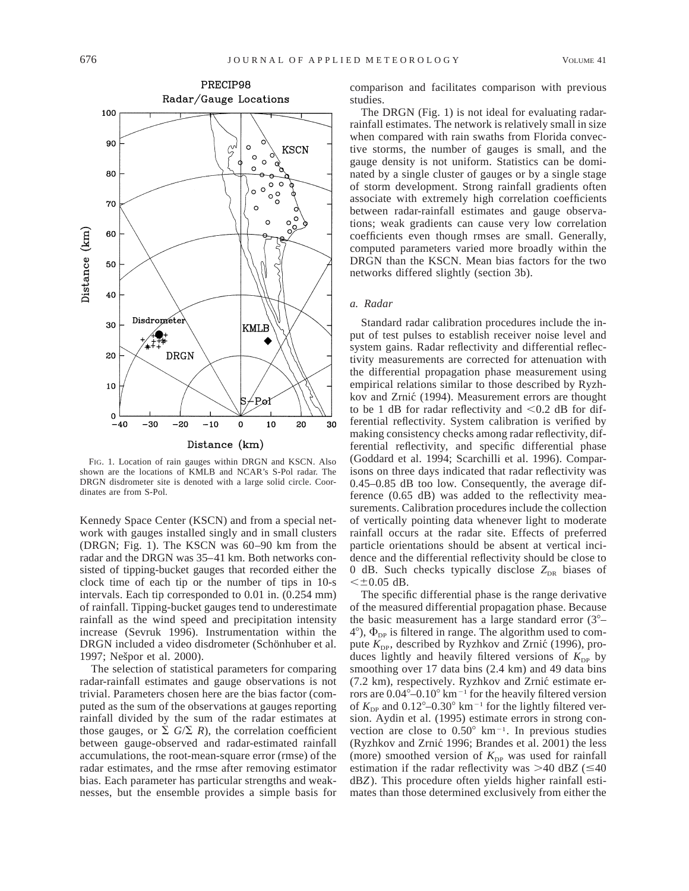

FIG. 1. Location of rain gauges within DRGN and KSCN. Also shown are the locations of KMLB and NCAR's S-Pol radar. The DRGN disdrometer site is denoted with a large solid circle. Coordinates are from S-Pol.

Kennedy Space Center (KSCN) and from a special network with gauges installed singly and in small clusters (DRGN; Fig. 1). The KSCN was 60–90 km from the radar and the DRGN was 35–41 km. Both networks consisted of tipping-bucket gauges that recorded either the clock time of each tip or the number of tips in 10-s intervals. Each tip corresponded to 0.01 in. (0.254 mm) of rainfall. Tipping-bucket gauges tend to underestimate rainfall as the wind speed and precipitation intensity increase (Sevruk 1996). Instrumentation within the DRGN included a video disdrometer (Schönhuber et al. 1997; Nešpor et al. 2000).

The selection of statistical parameters for comparing radar-rainfall estimates and gauge observations is not trivial. Parameters chosen here are the bias factor (computed as the sum of the observations at gauges reporting rainfall divided by the sum of the radar estimates at those gauges, or  $\Sigma$  *G*/ $\Sigma$  *R*), the correlation coefficient between gauge-observed and radar-estimated rainfall accumulations, the root-mean-square error (rmse) of the radar estimates, and the rmse after removing estimator bias. Each parameter has particular strengths and weaknesses, but the ensemble provides a simple basis for comparison and facilitates comparison with previous studies.

The DRGN (Fig. 1) is not ideal for evaluating radarrainfall estimates. The network is relatively small in size when compared with rain swaths from Florida convective storms, the number of gauges is small, and the gauge density is not uniform. Statistics can be dominated by a single cluster of gauges or by a single stage of storm development. Strong rainfall gradients often associate with extremely high correlation coefficients between radar-rainfall estimates and gauge observations; weak gradients can cause very low correlation coefficients even though rmses are small. Generally, computed parameters varied more broadly within the DRGN than the KSCN. Mean bias factors for the two networks differed slightly (section 3b).

## *a. Radar*

Standard radar calibration procedures include the input of test pulses to establish receiver noise level and system gains. Radar reflectivity and differential reflectivity measurements are corrected for attenuation with the differential propagation phase measurement using empirical relations similar to those described by Ryzhkov and Zrnić (1994). Measurement errors are thought to be 1 dB for radar reflectivity and  $< 0.2$  dB for differential reflectivity. System calibration is verified by making consistency checks among radar reflectivity, differential reflectivity, and specific differential phase (Goddard et al. 1994; Scarchilli et al. 1996). Comparisons on three days indicated that radar reflectivity was 0.45–0.85 dB too low. Consequently, the average difference (0.65 dB) was added to the reflectivity measurements. Calibration procedures include the collection of vertically pointing data whenever light to moderate rainfall occurs at the radar site. Effects of preferred particle orientations should be absent at vertical incidence and the differential reflectivity should be close to 0 dB. Such checks typically disclose  $Z_{DR}$  biases of  $< \pm 0.05$  dB.

The specific differential phase is the range derivative of the measured differential propagation phase. Because the basic measurement has a large standard error  $(3^{\circ} 4^{\circ}$ ),  $\Phi_{\text{DP}}$  is filtered in range. The algorithm used to compute  $K_{\text{DP}}$ , described by Ryzhkov and Zrnić (1996), produces lightly and heavily filtered versions of  $K_{\text{DP}}$  by smoothing over 17 data bins (2.4 km) and 49 data bins (7.2 km), respectively. Ryzhkov and Zrnic´ estimate errors are  $0.04^{\circ} - 0.10^{\circ}$  km<sup>-1</sup> for the heavily filtered version of  $K_{\text{DP}}$  and  $0.12^{\circ}$ – $0.30^{\circ}$  km<sup>-1</sup> for the lightly filtered version. Aydin et al. (1995) estimate errors in strong convection are close to  $0.50^{\circ}$  km<sup>-1</sup>. In previous studies (Ryzhkov and Zrnic´ 1996; Brandes et al. 2001) the less (more) smoothed version of  $K_{DP}$  was used for rainfall estimation if the radar reflectivity was  $>40$  dBZ ( $\leq 40$ ) dB*Z*). This procedure often yields higher rainfall estimates than those determined exclusively from either the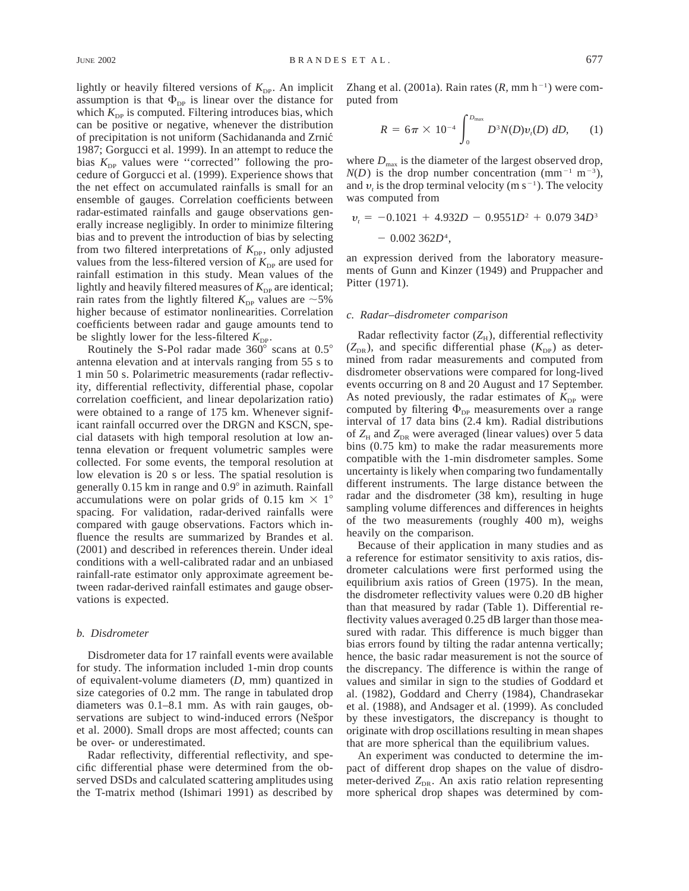lightly or heavily filtered versions of  $K_{\text{DP}}$ . An implicit assumption is that  $\Phi_{\text{DP}}$  is linear over the distance for which  $K_{\text{DP}}$  is computed. Filtering introduces bias, which can be positive or negative, whenever the distribution of precipitation is not uniform (Sachidananda and Zrnic´ 1987; Gorgucci et al. 1999). In an attempt to reduce the bias  $K_{\text{DP}}$  values were "corrected" following the procedure of Gorgucci et al. (1999). Experience shows that the net effect on accumulated rainfalls is small for an ensemble of gauges. Correlation coefficients between radar-estimated rainfalls and gauge observations generally increase negligibly. In order to minimize filtering bias and to prevent the introduction of bias by selecting from two filtered interpretations of  $K_{\text{DP}}$ , only adjusted values from the less-filtered version of  $K_{\text{DP}}$  are used for rainfall estimation in this study. Mean values of the lightly and heavily filtered measures of  $K_{\text{DP}}$  are identical; rain rates from the lightly filtered  $K_{\text{DP}}$  values are  $\sim$  5% higher because of estimator nonlinearities. Correlation coefficients between radar and gauge amounts tend to be slightly lower for the less-filtered  $K_{\text{DP}}$ .

Routinely the S-Pol radar made  $360^{\circ}$  scans at  $0.5^{\circ}$ antenna elevation and at intervals ranging from 55 s to 1 min 50 s. Polarimetric measurements (radar reflectivity, differential reflectivity, differential phase, copolar correlation coefficient, and linear depolarization ratio) were obtained to a range of 175 km. Whenever significant rainfall occurred over the DRGN and KSCN, special datasets with high temporal resolution at low antenna elevation or frequent volumetric samples were collected. For some events, the temporal resolution at low elevation is 20 s or less. The spatial resolution is generally 0.15 km in range and 0.9° in azimuth. Rainfall accumulations were on polar grids of 0.15 km  $\times$  1° spacing. For validation, radar-derived rainfalls were compared with gauge observations. Factors which influence the results are summarized by Brandes et al. (2001) and described in references therein. Under ideal conditions with a well-calibrated radar and an unbiased rainfall-rate estimator only approximate agreement between radar-derived rainfall estimates and gauge observations is expected.

#### *b. Disdrometer*

Disdrometer data for 17 rainfall events were available for study. The information included 1-min drop counts of equivalent-volume diameters (*D,* mm) quantized in size categories of 0.2 mm. The range in tabulated drop diameters was 0.1–8.1 mm. As with rain gauges, observations are subject to wind-induced errors (Nešpor et al. 2000). Small drops are most affected; counts can be over- or underestimated.

Radar reflectivity, differential reflectivity, and specific differential phase were determined from the observed DSDs and calculated scattering amplitudes using the T-matrix method (Ishimari 1991) as described by Zhang et al. (2001a). Rain rates  $(R, \text{ mm h}^{-1})$  were computed from

$$
R = 6\pi \times 10^{-4} \int_0^{D_{\text{max}}} D^3 N(D) v_t(D) \, dD, \qquad (1)
$$

where  $D_{\text{max}}$  is the diameter of the largest observed drop,  $N(D)$  is the drop number concentration (mm<sup>-1</sup> m<sup>-3</sup>), and  $v_t$  is the drop terminal velocity (m s<sup>-1</sup>). The velocity was computed from

$$
v_t = -0.1021 + 4.932D - 0.9551D^2 + 0.07934D^3 - 0.002362D^4,
$$

an expression derived from the laboratory measurements of Gunn and Kinzer (1949) and Pruppacher and Pitter (1971).

#### *c. Radar–disdrometer comparison*

Radar reflectivity factor  $(Z_H)$ , differential reflectivity  $(Z_{DR})$ , and specific differential phase  $(K_{DP})$  as determined from radar measurements and computed from disdrometer observations were compared for long-lived events occurring on 8 and 20 August and 17 September. As noted previously, the radar estimates of  $K_{\text{DP}}$  were computed by filtering  $\Phi_{DP}$  measurements over a range interval of 17 data bins (2.4 km). Radial distributions of  $Z_H$  and  $Z_{DR}$  were averaged (linear values) over 5 data bins (0.75 km) to make the radar measurements more compatible with the 1-min disdrometer samples. Some uncertainty is likely when comparing two fundamentally different instruments. The large distance between the radar and the disdrometer (38 km), resulting in huge sampling volume differences and differences in heights of the two measurements (roughly 400 m), weighs heavily on the comparison.

Because of their application in many studies and as a reference for estimator sensitivity to axis ratios, disdrometer calculations were first performed using the equilibrium axis ratios of Green (1975). In the mean, the disdrometer reflectivity values were 0.20 dB higher than that measured by radar (Table 1). Differential reflectivity values averaged 0.25 dB larger than those measured with radar. This difference is much bigger than bias errors found by tilting the radar antenna vertically; hence, the basic radar measurement is not the source of the discrepancy. The difference is within the range of values and similar in sign to the studies of Goddard et al. (1982), Goddard and Cherry (1984), Chandrasekar et al. (1988), and Andsager et al. (1999). As concluded by these investigators, the discrepancy is thought to originate with drop oscillations resulting in mean shapes that are more spherical than the equilibrium values.

An experiment was conducted to determine the impact of different drop shapes on the value of disdrometer-derived  $Z_{DR}$ . An axis ratio relation representing more spherical drop shapes was determined by com-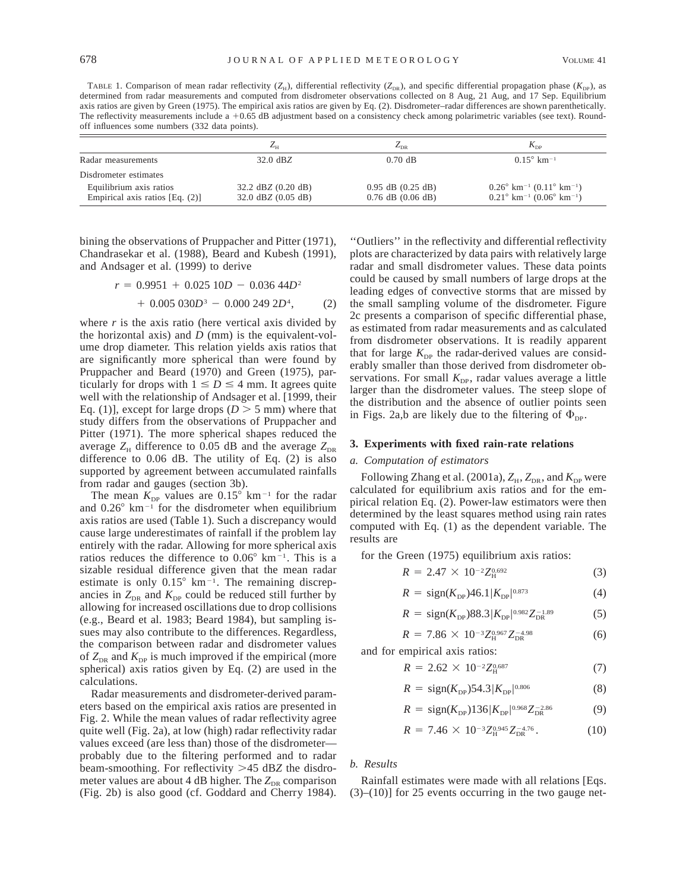TABLE 1. Comparison of mean radar reflectivity  $(Z_H)$ , differential reflectivity  $(Z_{DR})$ , and specific differential propagation phase  $(K_{DP})$ , as determined from radar measurements and computed from disdrometer observations collected on 8 Aug, 21 Aug, and 17 Sep. Equilibrium axis ratios are given by Green (1975). The empirical axis ratios are given by Eq. (2). Disdrometer–radar differences are shown parenthetically. The reflectivity measurements include a  $+0.65$  dB adjustment based on a consistency check among polarimetric variables (see text). Roundoff influences some numbers (332 data points).

|                                    | $L_{\rm H}$            | $L_{DR}$              | $K_{\text{DP}}$                                                    |
|------------------------------------|------------------------|-----------------------|--------------------------------------------------------------------|
| Radar measurements                 | $32.0 \text{ dBZ}$     | $0.70$ dB             | $0.15^{\circ}$ km <sup>-1</sup>                                    |
| Disdrometer estimates              |                        |                       |                                                                    |
| Equilibrium axis ratios            | 32.2 dBZ (0.20 dB)     | $0.95$ dB $(0.25$ dB) | $0.26^{\circ}$ km <sup>-1</sup> $(0.11^{\circ}$ km <sup>-1</sup> ) |
| Empirical axis ratios [Eq. $(2)$ ] | $32.0$ dBZ $(0.05$ dB) | $0.76$ dB $(0.06$ dB) | $0.21^{\circ}$ km <sup>-1</sup> (0.06° km <sup>-1</sup> )          |

bining the observations of Pruppacher and Pitter (1971), Chandrasekar et al. (1988), Beard and Kubesh (1991), and Andsager et al. (1999) to derive

$$
r = 0.9951 + 0.02510D - 0.03644D2
$$
  
+ 0.005030D<sup>3</sup> - 0.0002492D<sup>4</sup>, (2)

where *r* is the axis ratio (here vertical axis divided by the horizontal axis) and *D* (mm) is the equivalent-volume drop diameter. This relation yields axis ratios that are significantly more spherical than were found by Pruppacher and Beard (1970) and Green (1975), particularly for drops with  $1 \le D \le 4$  mm. It agrees quite well with the relationship of Andsager et al. [1999, their Eq. (1)], except for large drops ( $D > 5$  mm) where that study differs from the observations of Pruppacher and Pitter (1971). The more spherical shapes reduced the average  $Z_H$  difference to 0.05 dB and the average  $Z_{DR}$ difference to 0.06 dB. The utility of Eq. (2) is also supported by agreement between accumulated rainfalls from radar and gauges (section 3b).

The mean  $K_{\text{DP}}$  values are  $0.15^{\circ}$  km<sup>-1</sup> for the radar and  $0.26^{\circ}$  km<sup>-1</sup> for the disdrometer when equilibrium axis ratios are used (Table 1). Such a discrepancy would cause large underestimates of rainfall if the problem lay entirely with the radar. Allowing for more spherical axis ratios reduces the difference to  $0.06^{\circ}$  km<sup>-1</sup>. This is a sizable residual difference given that the mean radar estimate is only  $0.15^{\circ}$  km<sup>-1</sup>. The remaining discrepancies in  $Z_{DR}$  and  $K_{DP}$  could be reduced still further by allowing for increased oscillations due to drop collisions (e.g., Beard et al. 1983; Beard 1984), but sampling issues may also contribute to the differences. Regardless, the comparison between radar and disdrometer values of  $Z_{DR}$  and  $K_{DP}$  is much improved if the empirical (more spherical) axis ratios given by Eq. (2) are used in the calculations.

Radar measurements and disdrometer-derived parameters based on the empirical axis ratios are presented in Fig. 2. While the mean values of radar reflectivity agree quite well (Fig. 2a), at low (high) radar reflectivity radar values exceed (are less than) those of the disdrometer probably due to the filtering performed and to radar beam-smoothing. For reflectivity >45 dB*Z* the disdrometer values are about 4 dB higher. The  $Z_{DR}$  comparison (Fig. 2b) is also good (cf. Goddard and Cherry 1984).

''Outliers'' in the reflectivity and differential reflectivity plots are characterized by data pairs with relatively large radar and small disdrometer values. These data points could be caused by small numbers of large drops at the leading edges of convective storms that are missed by the small sampling volume of the disdrometer. Figure 2c presents a comparison of specific differential phase, as estimated from radar measurements and as calculated from disdrometer observations. It is readily apparent that for large  $K_{\text{DP}}$  the radar-derived values are considerably smaller than those derived from disdrometer observations. For small  $K_{\text{DP}}$ , radar values average a little larger than the disdrometer values. The steep slope of the distribution and the absence of outlier points seen in Figs. 2a,b are likely due to the filtering of  $\Phi_{DP}$ .

#### **3. Experiments with fixed rain-rate relations**

#### *a. Computation of estimators*

Following Zhang et al. (2001a),  $Z_{\rm H}$ ,  $Z_{\rm DR}$ , and  $K_{\rm DP}$  were calculated for equilibrium axis ratios and for the empirical relation Eq. (2). Power-law estimators were then determined by the least squares method using rain rates computed with Eq. (1) as the dependent variable. The results are

for the Green (1975) equilibrium axis ratios:

$$
R = 2.47 \times 10^{-2} Z_{\rm H}^{0.692} \tag{3}
$$

$$
R = \text{sign}(K_{\text{DP}})46.1|K_{\text{DP}}|^{0.873} \tag{4}
$$

$$
R = \text{sign}(K_{\text{DP}})88.3|K_{\text{DP}}|^{0.982}Z_{\text{DR}}^{-1.89} \tag{5}
$$

$$
R = 7.86 \times 10^{-3} Z_{\rm H}^{0.967} Z_{\rm DR}^{-4.98} \tag{6}
$$

and for empirical axis ratios:

$$
R = 2.62 \times 10^{-2} Z_{\rm H}^{0.687} \tag{7}
$$

$$
R = \text{sign}(K_{\text{DP}})54.3|K_{\text{DP}}|^{0.806} \tag{8}
$$

$$
R = \text{sign}(K_{\text{DP}})136|K_{\text{DP}}|^{0.968}Z_{\text{DR}}^{-2.86} \tag{9}
$$

$$
R = 7.46 \times 10^{-3} Z_{\rm H}^{0.945} Z_{\rm DR}^{-4.76} \,. \tag{10}
$$

#### *b. Results*

Rainfall estimates were made with all relations [Eqs.  $(3)$ – $(10)$ ] for 25 events occurring in the two gauge net-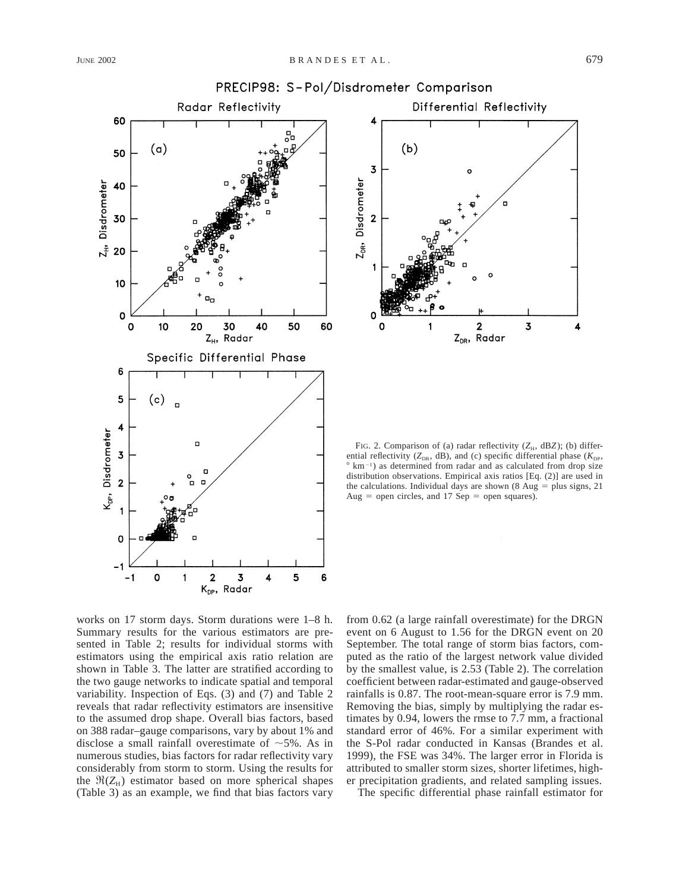

# PRECIP98: S-Pol/Disdrometer Comparison

Differential Reflectivity 4  $(b)$ 3 Z<sub>DR</sub>, Disdrometer  $\overline{2}$  $\overline{\mathbf{2}}$  $\overline{\mathbf{3}}$ Radar Z<sub>DR</sub>,

FIG. 2. Comparison of (a) radar reflectivity ( $Z_H$ , dB*Z*); (b) differential reflectivity ( $Z_{DR}$ , dB), and (c) specific differential phase ( $K_{DP}$ ,  $\degree$  km<sup>-1</sup>) as determined from radar and as calculated from drop size distribution observations. Empirical axis ratios [Eq. (2)] are used in the calculations. Individual days are shown (8 Aug  $=$  plus signs, 21 Aug = open circles, and 17 Sep = open squares).

works on 17 storm days. Storm durations were 1–8 h. Summary results for the various estimators are presented in Table 2; results for individual storms with estimators using the empirical axis ratio relation are shown in Table 3. The latter are stratified according to the two gauge networks to indicate spatial and temporal variability. Inspection of Eqs. (3) and (7) and Table 2 reveals that radar reflectivity estimators are insensitive to the assumed drop shape. Overall bias factors, based on 388 radar–gauge comparisons, vary by about 1% and disclose a small rainfall overestimate of  $\sim$ 5%. As in numerous studies, bias factors for radar reflectivity vary considerably from storm to storm. Using the results for the  $\Re(Z_H)$  estimator based on more spherical shapes (Table 3) as an example, we find that bias factors vary from 0.62 (a large rainfall overestimate) for the DRGN event on 6 August to 1.56 for the DRGN event on 20 September. The total range of storm bias factors, computed as the ratio of the largest network value divided by the smallest value, is 2.53 (Table 2). The correlation coefficient between radar-estimated and gauge-observed rainfalls is 0.87. The root-mean-square error is 7.9 mm. Removing the bias, simply by multiplying the radar estimates by 0.94, lowers the rmse to 7.7 mm, a fractional standard error of 46%. For a similar experiment with the S-Pol radar conducted in Kansas (Brandes et al. 1999), the FSE was 34%. The larger error in Florida is attributed to smaller storm sizes, shorter lifetimes, higher precipitation gradients, and related sampling issues.

The specific differential phase rainfall estimator for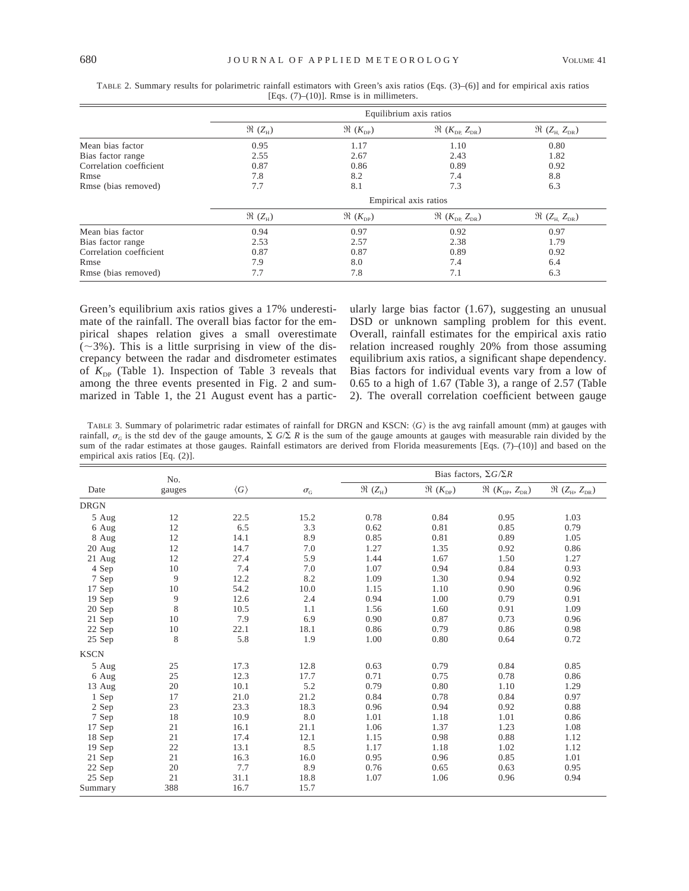|                         | Equilibrium axis ratios    |                                   |                                             |                                                   |  |  |
|-------------------------|----------------------------|-----------------------------------|---------------------------------------------|---------------------------------------------------|--|--|
|                         | $\mathfrak{R} (Z_{\rm H})$ | $\mathfrak{R}(K_{\text{DP}})$     | $\Re$ ( $K_{\text{DP}}$ , $Z_{\text{DR}}$ ) | $\mathfrak{R}$ (Z <sub>H,</sub> Z <sub>DR</sub> ) |  |  |
| Mean bias factor        | 0.95                       | 1.17                              | 1.10                                        | 0.80                                              |  |  |
| Bias factor range       | 2.55                       | 2.67                              | 2.43                                        | 1.82                                              |  |  |
| Correlation coefficient | 0.87                       | 0.86                              | 0.89                                        | 0.92                                              |  |  |
| Rmse                    | 7.8                        | 8.2                               | 7.4                                         | 8.8                                               |  |  |
| Rmse (bias removed)     | 7.7                        | 8.1                               | 7.3                                         | 6.3                                               |  |  |
|                         | Empirical axis ratios      |                                   |                                             |                                                   |  |  |
|                         | $\mathfrak{R}(Z_{\rm H})$  | $\mathfrak{R}\ (K_{\mathrm{DP}})$ | $\Re$ ( $K_{\text{DP}}$ , $Z_{\text{DR}}$ ) | $\mathfrak{R}$ (Z <sub>H,</sub> Z <sub>DR</sub> ) |  |  |
| Mean bias factor        | 0.94                       | 0.97                              | 0.92                                        | 0.97                                              |  |  |
| Bias factor range       | 2.53                       | 2.57                              | 2.38                                        | 1.79                                              |  |  |
| Correlation coefficient | 0.87                       | 0.87                              | 0.89                                        | 0.92                                              |  |  |
| Rmse                    | 7.9                        | 8.0                               | 7.4                                         | 6.4                                               |  |  |
| Rmse (bias removed)     | 7.7                        | 7.8                               | 7.1                                         | 6.3                                               |  |  |

TABLE 2. Summary results for polarimetric rainfall estimators with Green's axis ratios (Eqs. (3)–(6)] and for empirical axis ratios [Eqs. (7)–(10)]. Rmse is in millimeters.

Green's equilibrium axis ratios gives a 17% underestimate of the rainfall. The overall bias factor for the empirical shapes relation gives a small overestimate  $(\sim$ 3%). This is a little surprising in view of the discrepancy between the radar and disdrometer estimates of  $K_{DP}$  (Table 1). Inspection of Table 3 reveals that among the three events presented in Fig. 2 and summarized in Table 1, the 21 August event has a particularly large bias factor (1.67), suggesting an unusual DSD or unknown sampling problem for this event. Overall, rainfall estimates for the empirical axis ratio relation increased roughly 20% from those assuming equilibrium axis ratios, a significant shape dependency. Bias factors for individual events vary from a low of 0.65 to a high of 1.67 (Table 3), a range of 2.57 (Table 2). The overall correlation coefficient between gauge

TABLE 3. Summary of polarimetric radar estimates of rainfall for DRGN and KSCN:  $\langle G \rangle$  is the avg rainfall amount (mm) at gauges with rainfall,  $\sigma_G$  is the std dev of the gauge amounts,  $\Sigma$  *G*/ $\Sigma$  *R* is the sum of the gauge amounts at gauges with measurable rain divided by the sum of the radar estimates at those gauges. Rainfall estimators are derived from Florida measurements [Eqs. (7)–(10)] and based on the empirical axis ratios [Eq. (2)].

|             | No.    |                     |                           | Bias factors, $\Sigma G/\Sigma R$ |                          |                                                  |                                                                    |
|-------------|--------|---------------------|---------------------------|-----------------------------------|--------------------------|--------------------------------------------------|--------------------------------------------------------------------|
| Date        | gauges | $\langle G \rangle$ | $\sigma_{\text{\tiny G}}$ | $\Re~(Z_{\mbox{\tiny H}})$        | $\Re\ (K_{\mathrm{DP}})$ | $\Re~(K_{\text{\tiny DP}},~Z_{\text{\tiny DR}})$ | $\Re~(Z_{\scriptscriptstyle\rm H},\,Z_{\scriptscriptstyle\rm DR})$ |
| <b>DRGN</b> |        |                     |                           |                                   |                          |                                                  |                                                                    |
| 5 Aug       | 12     | 22.5                | 15.2                      | 0.78                              | 0.84                     | 0.95                                             | 1.03                                                               |
| 6 Aug       | 12     | 6.5                 | 3.3                       | 0.62                              | 0.81                     | 0.85                                             | 0.79                                                               |
| 8 Aug       | 12     | 14.1                | 8.9                       | 0.85                              | 0.81                     | 0.89                                             | 1.05                                                               |
| 20 Aug      | 12     | 14.7                | 7.0                       | 1.27                              | 1.35                     | 0.92                                             | 0.86                                                               |
| 21 Aug      | 12     | 27.4                | 5.9                       | 1.44                              | 1.67                     | 1.50                                             | 1.27                                                               |
| 4 Sep       | 10     | 7.4                 | 7.0                       | 1.07                              | 0.94                     | 0.84                                             | 0.93                                                               |
| 7 Sep       | 9      | 12.2                | 8.2                       | 1.09                              | 1.30                     | 0.94                                             | 0.92                                                               |
| 17 Sep      | 10     | 54.2                | 10.0                      | 1.15                              | 1.10                     | 0.90                                             | 0.96                                                               |
| $19$ Sep    | 9      | 12.6                | 2.4                       | 0.94                              | 1.00                     | 0.79                                             | 0.91                                                               |
| 20 Sep      | 8      | 10.5                | 1.1                       | 1.56                              | 1.60                     | 0.91                                             | 1.09                                                               |
| 21 Sep      | 10     | 7.9                 | 6.9                       | 0.90                              | 0.87                     | 0.73                                             | 0.96                                                               |
| 22 Sep      | 10     | 22.1                | 18.1                      | 0.86                              | 0.79                     | 0.86                                             | 0.98                                                               |
| 25 Sep      | 8      | 5.8                 | 1.9                       | 1.00                              | 0.80                     | 0.64                                             | 0.72                                                               |
| <b>KSCN</b> |        |                     |                           |                                   |                          |                                                  |                                                                    |
| 5 Aug       | 25     | 17.3                | 12.8                      | 0.63                              | 0.79                     | 0.84                                             | 0.85                                                               |
| 6 Aug       | 25     | 12.3                | 17.7                      | 0.71                              | 0.75                     | 0.78                                             | 0.86                                                               |
| 13 Aug      | 20     | 10.1                | 5.2                       | 0.79                              | 0.80                     | 1.10                                             | 1.29                                                               |
| 1 Sep       | 17     | 21.0                | 21.2                      | 0.84                              | 0.78                     | 0.84                                             | 0.97                                                               |
| 2 Sep       | 23     | 23.3                | 18.3                      | 0.96                              | 0.94                     | 0.92                                             | 0.88                                                               |
| 7 Sep       | 18     | 10.9                | 8.0                       | 1.01                              | 1.18                     | 1.01                                             | 0.86                                                               |
| 17 Sep      | 21     | 16.1                | 21.1                      | 1.06                              | 1.37                     | 1.23                                             | 1.08                                                               |
| 18 Sep      | 21     | 17.4                | 12.1                      | 1.15                              | 0.98                     | 0.88                                             | 1.12                                                               |
| 19 Sep      | 22     | 13.1                | 8.5                       | 1.17                              | 1.18                     | 1.02                                             | 1.12                                                               |
| 21 Sep      | 21     | 16.3                | 16.0                      | 0.95                              | 0.96                     | 0.85                                             | 1.01                                                               |
| 22 Sep      | 20     | 7.7                 | 8.9                       | 0.76                              | 0.65                     | 0.63                                             | 0.95                                                               |
| 25 Sep      | 21     | 31.1                | 18.8                      | 1.07                              | 1.06                     | 0.96                                             | 0.94                                                               |
| Summary     | 388    | 16.7                | 15.7                      |                                   |                          |                                                  |                                                                    |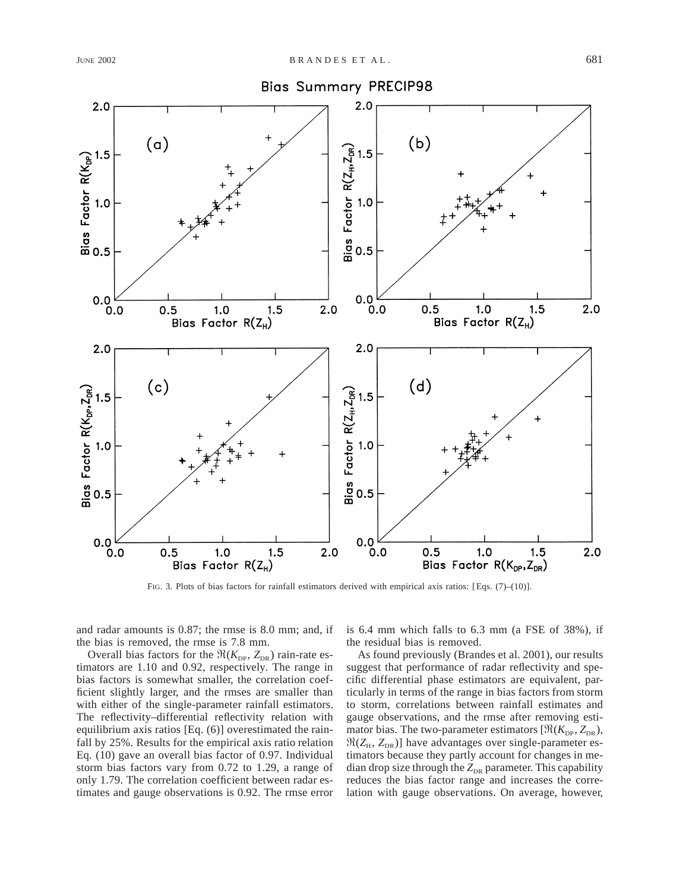

FIG. 3. Plots of bias factors for rainfall estimators derived with empirical axis ratios: [Eqs. (7)–(10)].

and radar amounts is 0.87; the rmse is 8.0 mm; and, if the bias is removed, the rmse is 7.8 mm.

Overall bias factors for the  $\Re(K_{\text{DP}}, Z_{\text{DR}})$  rain-rate estimators are 1.10 and 0.92, respectively. The range in bias factors is somewhat smaller, the correlation coefficient slightly larger, and the rmses are smaller than with either of the single-parameter rainfall estimators. The reflectivity–differential reflectivity relation with equilibrium axis ratios [Eq. (6)] overestimated the rainfall by 25%. Results for the empirical axis ratio relation Eq. (10) gave an overall bias factor of 0.97. Individual storm bias factors vary from 0.72 to 1.29, a range of only 1.79. The correlation coefficient between radar estimates and gauge observations is 0.92. The rmse error is 6.4 mm which falls to 6.3 mm (a FSE of 38%), if the residual bias is removed.

As found previously (Brandes et al. 2001), our results suggest that performance of radar reflectivity and specific differential phase estimators are equivalent, particularly in terms of the range in bias factors from storm to storm, correlations between rainfall estimates and gauge observations, and the rmse after removing estimator bias. The two-parameter estimators  $[\Re(K_{\text{DP}}, Z_{\text{DR}}),$  $\Re(Z_H, Z_{DR})$ ] have advantages over single-parameter estimators because they partly account for changes in median drop size through the  $Z_{DR}$  parameter. This capability reduces the bias factor range and increases the correlation with gauge observations. On average, however,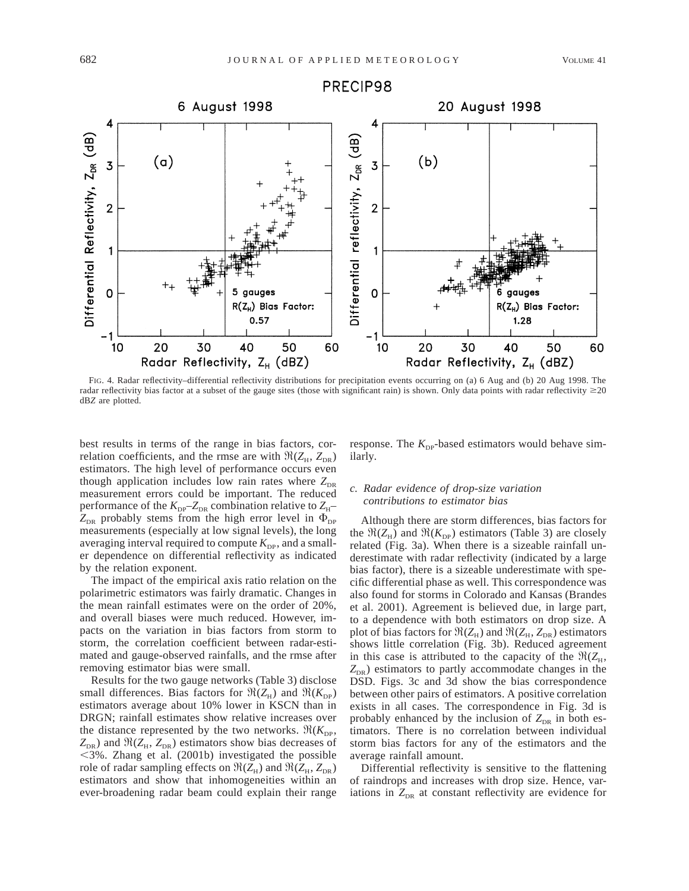

FIG. 4. Radar reflectivity–differential reflectivity distributions for precipitation events occurring on (a) 6 Aug and (b) 20 Aug 1998. The radar reflectivity bias factor at a subset of the gauge sites (those with significant rain) is shown. Only data points with radar reflectivity  $\geq$ 20 dB*Z* are plotted.

best results in terms of the range in bias factors, correlation coefficients, and the rmse are with  $\Re(Z_H, Z_{DR})$ estimators. The high level of performance occurs even though application includes low rain rates where  $Z_{DR}$ measurement errors could be important. The reduced performance of the  $K_{\text{DP}}-Z_{\text{DR}}$  combination relative to  $Z_{\text{H}} Z_{DR}$  probably stems from the high error level in  $\Phi_{DP}$ measurements (especially at low signal levels), the long averaging interval required to compute  $K_{\text{DP}}$ , and a smaller dependence on differential reflectivity as indicated by the relation exponent.

The impact of the empirical axis ratio relation on the polarimetric estimators was fairly dramatic. Changes in the mean rainfall estimates were on the order of 20%, and overall biases were much reduced. However, impacts on the variation in bias factors from storm to storm, the correlation coefficient between radar-estimated and gauge-observed rainfalls, and the rmse after removing estimator bias were small.

Results for the two gauge networks (Table 3) disclose small differences. Bias factors for  $\Re(Z_H)$  and  $\Re(K_{DP})$ estimators average about 10% lower in KSCN than in DRGN; rainfall estimates show relative increases over the distance represented by the two networks.  $\Re(K_{\text{DP}},$  $Z_{DR}$ ) and  $\Re(Z_H, Z_{DR})$  estimators show bias decreases of  $<$ 3%. Zhang et al. (2001b) investigated the possible role of radar sampling effects on  $\Re(Z_H)$  and  $\Re(Z_H, Z_{DR})$ estimators and show that inhomogeneities within an ever-broadening radar beam could explain their range

response. The  $K_{\text{DP}}$ -based estimators would behave similarly.

## *c. Radar evidence of drop-size variation contributions to estimator bias*

Although there are storm differences, bias factors for the  $\Re(Z_{\rm H})$  and  $\Re(K_{\rm DP})$  estimators (Table 3) are closely related (Fig. 3a). When there is a sizeable rainfall underestimate with radar reflectivity (indicated by a large bias factor), there is a sizeable underestimate with specific differential phase as well. This correspondence was also found for storms in Colorado and Kansas (Brandes et al. 2001). Agreement is believed due, in large part, to a dependence with both estimators on drop size. A plot of bias factors for  $\Re(Z_H)$  and  $\Re(Z_H, Z_{DR})$  estimators shows little correlation (Fig. 3b). Reduced agreement in this case is attributed to the capacity of the  $\Re(Z_H)$ ,  $Z_{DR}$ ) estimators to partly accommodate changes in the DSD. Figs. 3c and 3d show the bias correspondence between other pairs of estimators. A positive correlation exists in all cases. The correspondence in Fig. 3d is probably enhanced by the inclusion of  $Z_{DR}$  in both estimators. There is no correlation between individual storm bias factors for any of the estimators and the average rainfall amount.

Differential reflectivity is sensitive to the flattening of raindrops and increases with drop size. Hence, variations in  $Z_{DR}$  at constant reflectivity are evidence for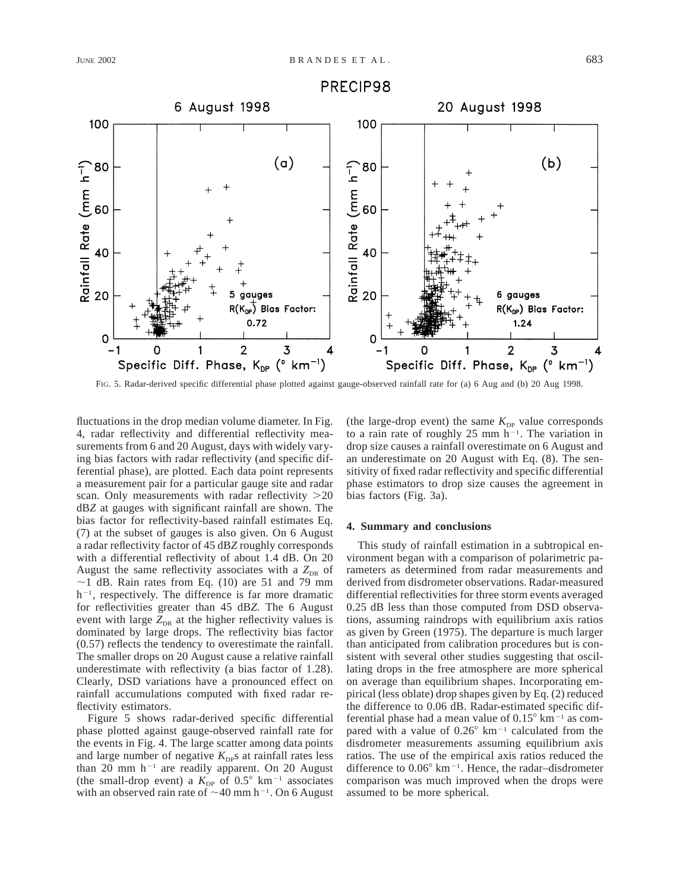

FIG. 5. Radar-derived specific differential phase plotted against gauge-observed rainfall rate for (a) 6 Aug and (b) 20 Aug 1998.

fluctuations in the drop median volume diameter. In Fig. 4, radar reflectivity and differential reflectivity measurements from 6 and 20 August, days with widely varying bias factors with radar reflectivity (and specific differential phase), are plotted. Each data point represents a measurement pair for a particular gauge site and radar scan. Only measurements with radar reflectivity  $>20$ dB*Z* at gauges with significant rainfall are shown. The bias factor for reflectivity-based rainfall estimates Eq. (7) at the subset of gauges is also given. On 6 August a radar reflectivity factor of 45 dB*Z* roughly corresponds with a differential reflectivity of about 1.4 dB. On 20 August the same reflectivity associates with a  $Z_{DR}$  of  $\sim$ 1 dB. Rain rates from Eq. (10) are 51 and 79 mm  $h^{-1}$ , respectively. The difference is far more dramatic for reflectivities greater than 45 dB*Z.* The 6 August event with large  $Z_{DR}$  at the higher reflectivity values is dominated by large drops. The reflectivity bias factor (0.57) reflects the tendency to overestimate the rainfall. The smaller drops on 20 August cause a relative rainfall underestimate with reflectivity (a bias factor of 1.28). Clearly, DSD variations have a pronounced effect on rainfall accumulations computed with fixed radar reflectivity estimators.

Figure 5 shows radar-derived specific differential phase plotted against gauge-observed rainfall rate for the events in Fig. 4. The large scatter among data points and large number of negative  $K_{\text{DP}}$ s at rainfall rates less than 20 mm  $h^{-1}$  are readily apparent. On 20 August (the small-drop event) a  $K_{\text{DP}}$  of 0.5° km<sup>-1</sup> associates with an observed rain rate of  $\sim$ 40 mm h<sup>-1</sup>. On 6 August (the large-drop event) the same  $K_{DP}$  value corresponds to a rain rate of roughly 25 mm  $h^{-1}$ . The variation in drop size causes a rainfall overestimate on 6 August and an underestimate on 20 August with Eq. (8). The sensitivity of fixed radar reflectivity and specific differential phase estimators to drop size causes the agreement in bias factors (Fig. 3a).

#### **4. Summary and conclusions**

This study of rainfall estimation in a subtropical environment began with a comparison of polarimetric parameters as determined from radar measurements and derived from disdrometer observations. Radar-measured differential reflectivities for three storm events averaged 0.25 dB less than those computed from DSD observations, assuming raindrops with equilibrium axis ratios as given by Green (1975). The departure is much larger than anticipated from calibration procedures but is consistent with several other studies suggesting that oscillating drops in the free atmosphere are more spherical on average than equilibrium shapes. Incorporating empirical (less oblate) drop shapes given by Eq. (2) reduced the difference to 0.06 dB. Radar-estimated specific differential phase had a mean value of  $0.15^{\circ}$  km<sup>-1</sup> as compared with a value of  $0.26^{\circ}$  km<sup>-1</sup> calculated from the disdrometer measurements assuming equilibrium axis ratios. The use of the empirical axis ratios reduced the difference to  $0.06^{\circ}$  km<sup>-1</sup>. Hence, the radar-disdrometer comparison was much improved when the drops were assumed to be more spherical.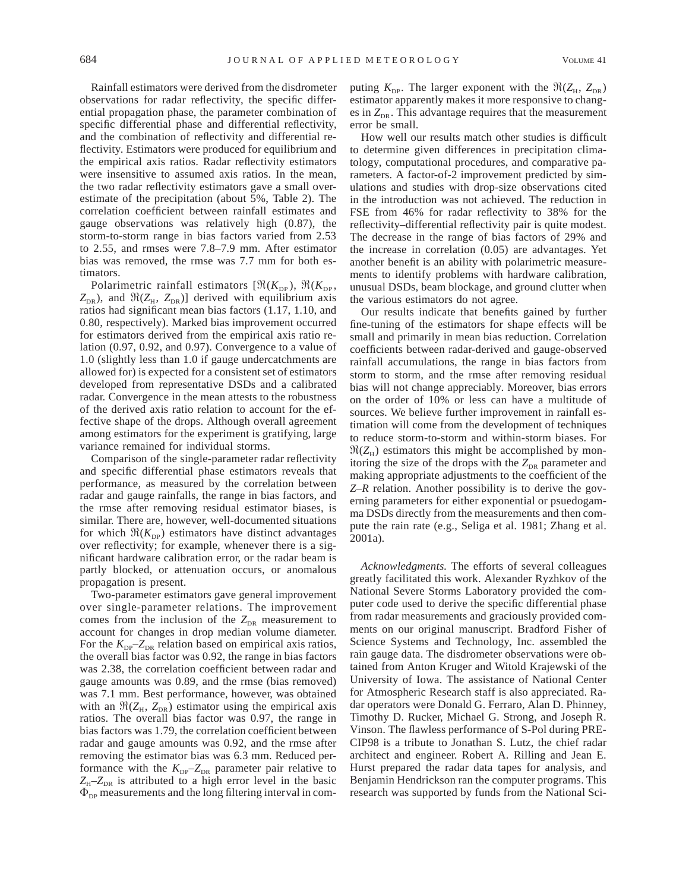Rainfall estimators were derived from the disdrometer observations for radar reflectivity, the specific differential propagation phase, the parameter combination of specific differential phase and differential reflectivity, and the combination of reflectivity and differential reflectivity. Estimators were produced for equilibrium and the empirical axis ratios. Radar reflectivity estimators were insensitive to assumed axis ratios. In the mean, the two radar reflectivity estimators gave a small overestimate of the precipitation (about 5%, Table 2). The correlation coefficient between rainfall estimates and gauge observations was relatively high (0.87), the storm-to-storm range in bias factors varied from 2.53 to 2.55, and rmses were 7.8–7.9 mm. After estimator bias was removed, the rmse was 7.7 mm for both estimators.

Polarimetric rainfall estimators  $[\Re(K_{\text{DP}}), \Re(K_{\text{DP}})]$  $Z_{DR}$ ), and  $\Re(Z_H, Z_{DR})$ ] derived with equilibrium axis ratios had significant mean bias factors (1.17, 1.10, and 0.80, respectively). Marked bias improvement occurred for estimators derived from the empirical axis ratio relation (0.97, 0.92, and 0.97). Convergence to a value of 1.0 (slightly less than 1.0 if gauge undercatchments are allowed for) is expected for a consistent set of estimators developed from representative DSDs and a calibrated radar. Convergence in the mean attests to the robustness of the derived axis ratio relation to account for the effective shape of the drops. Although overall agreement among estimators for the experiment is gratifying, large variance remained for individual storms.

Comparison of the single-parameter radar reflectivity and specific differential phase estimators reveals that performance, as measured by the correlation between radar and gauge rainfalls, the range in bias factors, and the rmse after removing residual estimator biases, is similar. There are, however, well-documented situations for which  $\Re(K_{\text{DP}})$  estimators have distinct advantages over reflectivity; for example, whenever there is a significant hardware calibration error, or the radar beam is partly blocked, or attenuation occurs, or anomalous propagation is present.

Two-parameter estimators gave general improvement over single-parameter relations. The improvement comes from the inclusion of the  $Z_{\text{DR}}$  measurement to account for changes in drop median volume diameter. For the  $K_{\text{DP}}-Z_{\text{DR}}$  relation based on empirical axis ratios, the overall bias factor was 0.92, the range in bias factors was 2.38, the correlation coefficient between radar and gauge amounts was 0.89, and the rmse (bias removed) was 7.1 mm. Best performance, however, was obtained with an  $\Re(Z_H, Z_{DR})$  estimator using the empirical axis ratios. The overall bias factor was 0.97, the range in bias factors was 1.79, the correlation coefficient between radar and gauge amounts was 0.92, and the rmse after removing the estimator bias was 6.3 mm. Reduced performance with the  $K_{DP}$ – $Z_{DR}$  parameter pair relative to  $Z_{\text{H}}$ – $Z_{\text{DR}}$  is attributed to a high error level in the basic  $\Phi_{\text{DP}}$  measurements and the long filtering interval in com-

puting  $K_{\text{DP}}$ . The larger exponent with the  $\Re(Z_{\text{H}}, Z_{\text{DR}})$ estimator apparently makes it more responsive to changes in  $Z_{\text{DE}}$ . This advantage requires that the measurement error be small.

How well our results match other studies is difficult to determine given differences in precipitation climatology, computational procedures, and comparative parameters. A factor-of-2 improvement predicted by simulations and studies with drop-size observations cited in the introduction was not achieved. The reduction in FSE from 46% for radar reflectivity to 38% for the reflectivity–differential reflectivity pair is quite modest. The decrease in the range of bias factors of 29% and the increase in correlation (0.05) are advantages. Yet another benefit is an ability with polarimetric measurements to identify problems with hardware calibration, unusual DSDs, beam blockage, and ground clutter when the various estimators do not agree.

Our results indicate that benefits gained by further fine-tuning of the estimators for shape effects will be small and primarily in mean bias reduction. Correlation coefficients between radar-derived and gauge-observed rainfall accumulations, the range in bias factors from storm to storm, and the rmse after removing residual bias will not change appreciably. Moreover, bias errors on the order of 10% or less can have a multitude of sources. We believe further improvement in rainfall estimation will come from the development of techniques to reduce storm-to-storm and within-storm biases. For  $\Re(Z_H)$  estimators this might be accomplished by monitoring the size of the drops with the  $Z_{DR}$  parameter and making appropriate adjustments to the coefficient of the *Z*–*R* relation. Another possibility is to derive the governing parameters for either exponential or psuedogamma DSDs directly from the measurements and then compute the rain rate (e.g., Seliga et al. 1981; Zhang et al. 2001a).

*Acknowledgments.* The efforts of several colleagues greatly facilitated this work. Alexander Ryzhkov of the National Severe Storms Laboratory provided the computer code used to derive the specific differential phase from radar measurements and graciously provided comments on our original manuscript. Bradford Fisher of Science Systems and Technology, Inc. assembled the rain gauge data. The disdrometer observations were obtained from Anton Kruger and Witold Krajewski of the University of Iowa. The assistance of National Center for Atmospheric Research staff is also appreciated. Radar operators were Donald G. Ferraro, Alan D. Phinney, Timothy D. Rucker, Michael G. Strong, and Joseph R. Vinson. The flawless performance of S-Pol during PRE-CIP98 is a tribute to Jonathan S. Lutz, the chief radar architect and engineer. Robert A. Rilling and Jean E. Hurst prepared the radar data tapes for analysis, and Benjamin Hendrickson ran the computer programs. This research was supported by funds from the National Sci